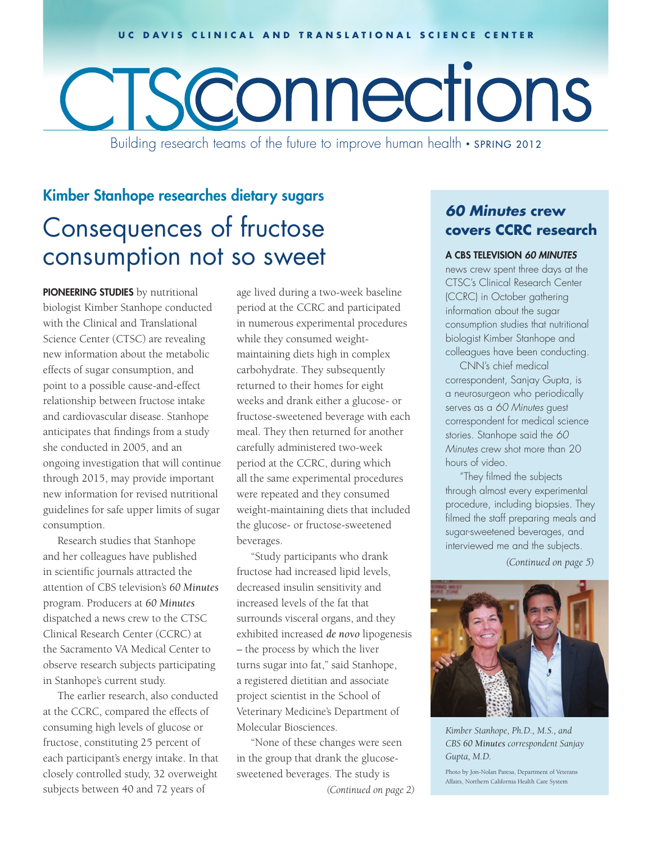#### **UC DAVIS CLINICAL AND TRANSLATIONAL SCIENCE CENTER**

# Sconnections

Building research teams of the future to improve human health • SPRING 2012

## Consequences of fructose consumption not so sweet Kimber Stanhope researches dietary sugars

PIONEERING STUDIES by nutritional biologist Kimber Stanhope conducted with the Clinical and Translational Science Center (CTSC) are revealing new information about the metabolic effects of sugar consumption, and point to a possible cause-and-effect relationship between fructose intake and cardiovascular disease. Stanhope anticipates that findings from a study she conducted in 2005, and an ongoing investigation that will continue through 2015, may provide important new information for revised nutritional guidelines for safe upper limits of sugar consumption.

Research studies that Stanhope and her colleagues have published in scientific journals attracted the attention of CBS television's *60 Minutes* program. Producers at *60 Minutes*  dispatched a news crew to the CTSC Clinical Research Center (CCRC) at the Sacramento VA Medical Center to observe research subjects participating in Stanhope's current study.

The earlier research, also conducted at the CCRC, compared the effects of consuming high levels of glucose or fructose, constituting 25 percent of each participant's energy intake. In that closely controlled study, 32 overweight subjects between 40 and 72 years of

age lived during a two-week baseline period at the CCRC and participated in numerous experimental procedures while they consumed weightmaintaining diets high in complex carbohydrate. They subsequently returned to their homes for eight weeks and drank either a glucose- or fructose-sweetened beverage with each meal. They then returned for another carefully administered two-week period at the CCRC, during which all the same experimental procedures were repeated and they consumed weight-maintaining diets that included the glucose- or fructose-sweetened beverages.

"Study participants who drank fructose had increased lipid levels, decreased insulin sensitivity and increased levels of the fat that surrounds visceral organs, and they exhibited increased *de novo* lipogenesis – the process by which the liver turns sugar into fat," said Stanhope, a registered dietitian and associate project scientist in the School of Veterinary Medicine's Department of Molecular Biosciences.

*(Continued on page 2)* "None of these changes were seen in the group that drank the glucosesweetened beverages. The study is

## *60 Minutes* **crew covers CCRC research**

#### A CBS TELEVISION *60 MINUTES*

news crew spent three days at the CTSC's Clinical Research Center (CCRC) in October gathering information about the sugar consumption studies that nutritional biologist Kimber Stanhope and colleagues have been conducting.

CNN's chief medical correspondent, Sanjay Gupta, is a neurosurgeon who periodically serves as a *60 Minutes* guest correspondent for medical science stories. Stanhope said the *60 Minutes* crew shot more than 20 hours of video.

"They filmed the subjects through almost every experimental procedure, including biopsies. They filmed the staff preparing meals and sugar-sweetened beverages, and interviewed me and the subjects.

*(Continued on page 5)*



*Kimber Stanhope, Ph.D., M.S., and CBS 60 Minutes correspondent Sanjay Gupta, M.D.* 

Photo by Jon-Nolan Paresa, Department of Veterans Affairs, Northern California Health Care System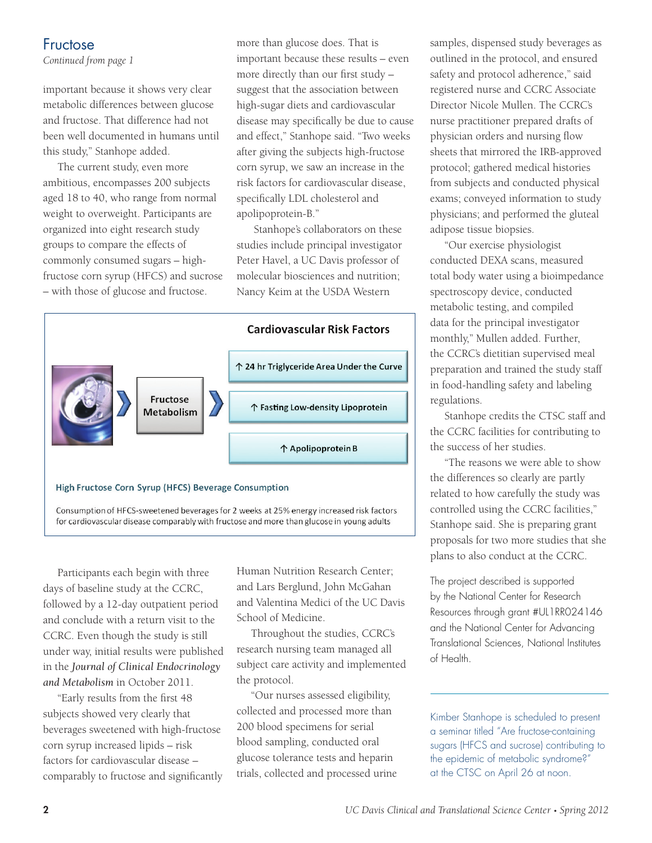## Fructose

*Continued from page 1*

important because it shows very clear metabolic differences between glucose and fructose. That difference had not been well documented in humans until this study," Stanhope added.

The current study, even more ambitious, encompasses 200 subjects aged 18 to 40, who range from normal weight to overweight. Participants are organized into eight research study groups to compare the effects of commonly consumed sugars – highfructose corn syrup (HFCS) and sucrose – with those of glucose and fructose.

more than glucose does. That is important because these results – even more directly than our first study – suggest that the association between high-sugar diets and cardiovascular disease may specifically be due to cause and effect," Stanhope said. "Two weeks after giving the subjects high-fructose corn syrup, we saw an increase in the risk factors for cardiovascular disease, specifically LDL cholesterol and apolipoprotein-B."

 Stanhope's collaborators on these studies include principal investigator Peter Havel, a UC Davis professor of molecular biosciences and nutrition; Nancy Keim at the USDA Western





Participants each begin with three days of baseline study at the CCRC, followed by a 12-day outpatient period and conclude with a return visit to the CCRC. Even though the study is still under way, initial results were published in the *Journal of Clinical Endocrinology and Metabolism* in October 2011.

"Early results from the first 48 subjects showed very clearly that beverages sweetened with high-fructose corn syrup increased lipids – risk factors for cardiovascular disease – comparably to fructose and significantly Human Nutrition Research Center; and Lars Berglund, John McGahan and Valentina Medici of the UC Davis School of Medicine.

Throughout the studies, CCRC's research nursing team managed all subject care activity and implemented the protocol.

"Our nurses assessed eligibility, collected and processed more than 200 blood specimens for serial blood sampling, conducted oral glucose tolerance tests and heparin trials, collected and processed urine samples, dispensed study beverages as outlined in the protocol, and ensured safety and protocol adherence," said registered nurse and CCRC Associate Director Nicole Mullen. The CCRC's nurse practitioner prepared drafts of physician orders and nursing flow sheets that mirrored the IRB-approved protocol; gathered medical histories from subjects and conducted physical exams; conveyed information to study physicians; and performed the gluteal adipose tissue biopsies.

"Our exercise physiologist conducted DEXA scans, measured total body water using a bioimpedance spectroscopy device, conducted metabolic testing, and compiled data for the principal investigator monthly," Mullen added. Further, the CCRC's dietitian supervised meal preparation and trained the study staff in food-handling safety and labeling regulations.

Stanhope credits the CTSC staff and the CCRC facilities for contributing to the success of her studies.

"The reasons we were able to show the differences so clearly are partly related to how carefully the study was controlled using the CCRC facilities," Stanhope said. She is preparing grant proposals for two more studies that she plans to also conduct at the CCRC.

The project described is supported by the National Center for Research Resources through grant #UL1RR024146 and the National Center for Advancing Translational Sciences, National Institutes of Health.

Kimber Stanhope is scheduled to present a seminar titled "Are fructose-containing sugars (HFCS and sucrose) contributing to the epidemic of metabolic syndrome?" at the CTSC on April 26 at noon.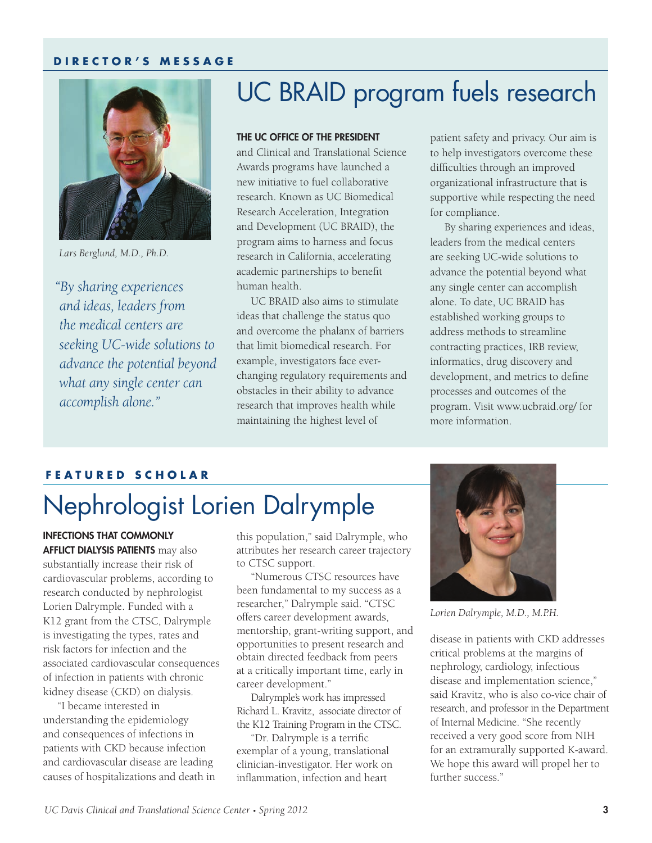#### **DIRECTOR'S MESSAGE**



*Lars Berglund, M.D., Ph.D.*

*"By sharing experiences and ideas, leaders from the medical centers are seeking UC-wide solutions to advance the potential beyond what any single center can accomplish alone."*

## UC BRAID program fuels research

#### THE UC OFFICE OF THE PRESIDENT

and Clinical and Translational Science Awards programs have launched a new initiative to fuel collaborative research. Known as UC Biomedical Research Acceleration, Integration and Development (UC BRAID), the program aims to harness and focus research in California, accelerating academic partnerships to benefit human health.

UC BRAID also aims to stimulate ideas that challenge the status quo and overcome the phalanx of barriers that limit biomedical research. For example, investigators face everchanging regulatory requirements and obstacles in their ability to advance research that improves health while maintaining the highest level of

patient safety and privacy. Our aim is to help investigators overcome these difficulties through an improved organizational infrastructure that is supportive while respecting the need for compliance.

By sharing experiences and ideas, leaders from the medical centers are seeking UC-wide solutions to advance the potential beyond what any single center can accomplish alone. To date, UC BRAID has established working groups to address methods to streamline contracting practices, IRB review, informatics, drug discovery and development, and metrics to define processes and outcomes of the program. Visit www.ucbraid.org/ for more information.

#### **FEATURED SCHOLAR**

# Nephrologist Lorien Dalrymple

INFECTIONS THAT COMMONLY AFFLICT DIALYSIS PATIENTS may also substantially increase their risk of cardiovascular problems, according to research conducted by nephrologist Lorien Dalrymple. Funded with a K12 grant from the CTSC, Dalrymple is investigating the types, rates and risk factors for infection and the associated cardiovascular consequences of infection in patients with chronic kidney disease (CKD) on dialysis.

"I became interested in understanding the epidemiology and consequences of infections in patients with CKD because infection and cardiovascular disease are leading causes of hospitalizations and death in this population," said Dalrymple, who attributes her research career trajectory to CTSC support.

"Numerous CTSC resources have been fundamental to my success as a researcher," Dalrymple said. "CTSC offers career development awards, mentorship, grant-writing support, and opportunities to present research and obtain directed feedback from peers at a critically important time, early in career development."

Dalrymple's work has impressed Richard L. Kravitz, associate director of the K12 Training Program in the CTSC.

"Dr. Dalrymple is a terrific exemplar of a young, translational clinician-investigator. Her work on inflammation, infection and heart



*Lorien Dalrymple, M.D., M.P.H.*

disease in patients with CKD addresses critical problems at the margins of nephrology, cardiology, infectious disease and implementation science," said Kravitz, who is also co-vice chair of research, and professor in the Department of Internal Medicine. "She recently received a very good score from NIH for an extramurally supported K-award. We hope this award will propel her to further success."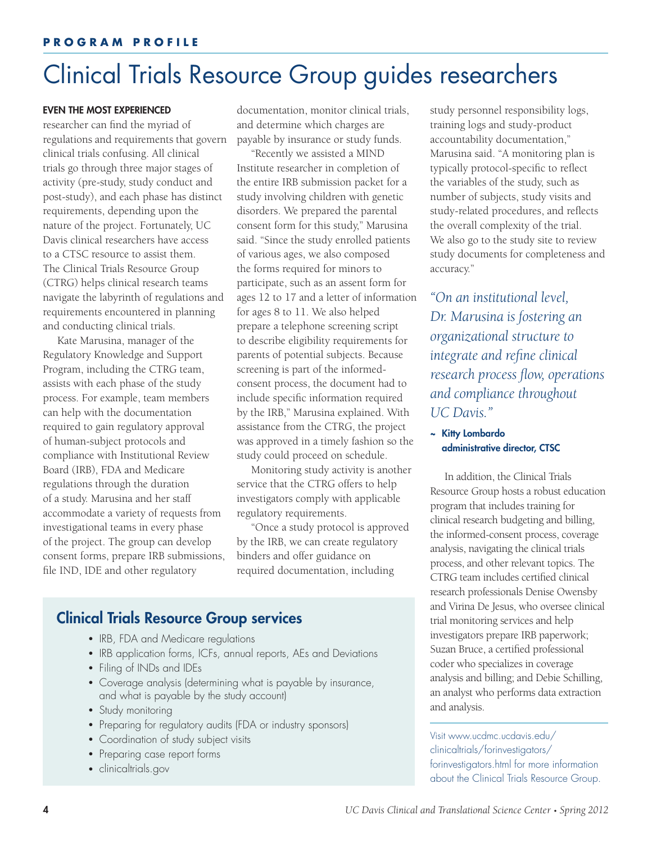## Clinical Trials Resource Group guides researchers

#### EVEN THE MOST EXPERIENCED

researcher can find the myriad of regulations and requirements that govern clinical trials confusing. All clinical trials go through three major stages of activity (pre-study, study conduct and post-study), and each phase has distinct requirements, depending upon the nature of the project. Fortunately, UC Davis clinical researchers have access to a CTSC resource to assist them. The Clinical Trials Resource Group (CTRG) helps clinical research teams navigate the labyrinth of regulations and requirements encountered in planning and conducting clinical trials.

Kate Marusina, manager of the Regulatory Knowledge and Support Program, including the CTRG team, assists with each phase of the study process. For example, team members can help with the documentation required to gain regulatory approval of human-subject protocols and compliance with Institutional Review Board (IRB), FDA and Medicare regulations through the duration of a study. Marusina and her staff accommodate a variety of requests from investigational teams in every phase of the project. The group can develop consent forms, prepare IRB submissions, file IND, IDE and other regulatory

documentation, monitor clinical trials, and determine which charges are payable by insurance or study funds.

"Recently we assisted a MIND Institute researcher in completion of the entire IRB submission packet for a study involving children with genetic disorders. We prepared the parental consent form for this study," Marusina said. "Since the study enrolled patients of various ages, we also composed the forms required for minors to participate, such as an assent form for ages 12 to 17 and a letter of information for ages 8 to 11. We also helped prepare a telephone screening script to describe eligibility requirements for parents of potential subjects. Because screening is part of the informedconsent process, the document had to include specific information required by the IRB," Marusina explained. With assistance from the CTRG, the project was approved in a timely fashion so the study could proceed on schedule.

Monitoring study activity is another service that the CTRG offers to help investigators comply with applicable regulatory requirements.

"Once a study protocol is approved by the IRB, we can create regulatory binders and offer guidance on required documentation, including

## Clinical Trials Resource Group services

- IRB, FDA and Medicare regulations
- IRB application forms, ICFs, annual reports, AEs and Deviations
- Filing of INDs and IDEs
- Coverage analysis (determining what is payable by insurance, and what is payable by the study account)
- Study monitoring
- Preparing for regulatory audits (FDA or industry sponsors)
- Coordination of study subject visits
- Preparing case report forms
- clinicaltrials.gov

study personnel responsibility logs, training logs and study-product accountability documentation," Marusina said. "A monitoring plan is typically protocol-specific to reflect the variables of the study, such as number of subjects, study visits and study-related procedures, and reflects the overall complexity of the trial. We also go to the study site to review study documents for completeness and accuracy."

*"On an institutional level, Dr. Marusina is fostering an organizational structure to integrate and refine clinical research process flow, operations and compliance throughout UC Davis."*

#### ~ Kitty Lombardo administrative director, CTSC

In addition, the Clinical Trials Resource Group hosts a robust education program that includes training for clinical research budgeting and billing, the informed-consent process, coverage analysis, navigating the clinical trials process, and other relevant topics. The CTRG team includes certified clinical research professionals Denise Owensby and Virina De Jesus, who oversee clinical trial monitoring services and help investigators prepare IRB paperwork; Suzan Bruce, a certified professional coder who specializes in coverage analysis and billing; and Debie Schilling, an analyst who performs data extraction and analysis.

Visit www.ucdmc.ucdavis.edu/ clinicaltrials/forinvestigators/ forinvestigators.html for more information about the Clinical Trials Resource Group.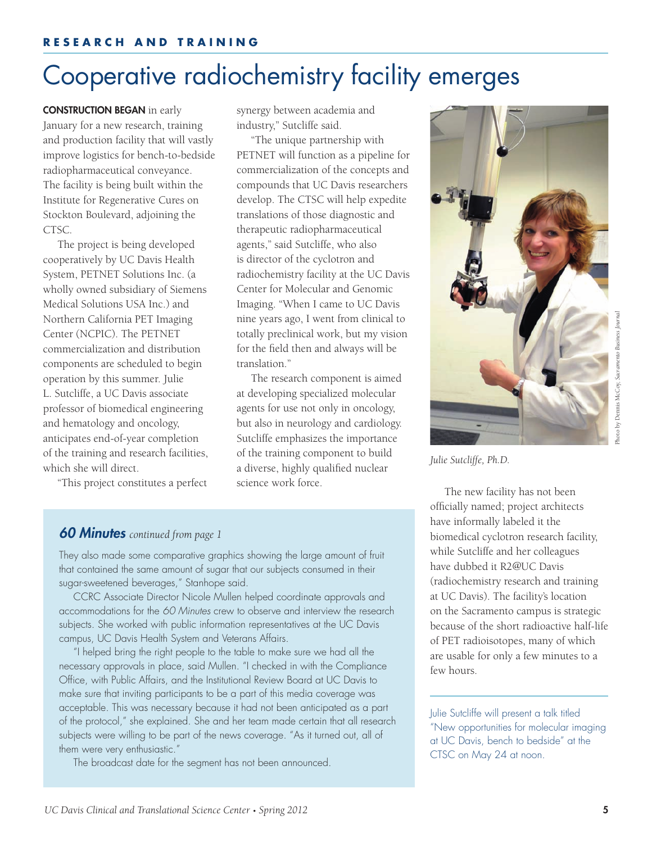# Cooperative radiochemistry facility emerges

CONSTRUCTION BEGAN in early January for a new research, training and production facility that will vastly improve logistics for bench-to-bedside radiopharmaceutical conveyance. The facility is being built within the Institute for Regenerative Cures on Stockton Boulevard, adjoining the CTSC.

The project is being developed cooperatively by UC Davis Health System, PETNET Solutions Inc. (a wholly owned subsidiary of Siemens Medical Solutions USA Inc.) and Northern California PET Imaging Center (NCPIC). The PETNET commercialization and distribution components are scheduled to begin operation by this summer. Julie L. Sutcliffe, a UC Davis associate professor of biomedical engineering and hematology and oncology, anticipates end-of-year completion of the training and research facilities, which she will direct.

"This project constitutes a perfect

synergy between academia and industry," Sutcliffe said.

"The unique partnership with PETNET will function as a pipeline for commercialization of the concepts and compounds that UC Davis researchers develop. The CTSC will help expedite translations of those diagnostic and therapeutic radiopharmaceutical agents," said Sutcliffe, who also is director of the cyclotron and radiochemistry facility at the UC Davis Center for Molecular and Genomic Imaging. "When I came to UC Davis nine years ago, I went from clinical to totally preclinical work, but my vision for the field then and always will be translation."

The research component is aimed at developing specialized molecular agents for use not only in oncology, but also in neurology and cardiology. Sutcliffe emphasizes the importance of the training component to build a diverse, highly qualified nuclear science work force.



*Julie Sutcliffe, Ph.D.* 

The new facility has not been officially named; project architects have informally labeled it the biomedical cyclotron research facility, while Sutcliffe and her colleagues have dubbed it R2@UC Davis (radiochemistry research and training at UC Davis). The facility's location on the Sacramento campus is strategic because of the short radioactive half-life of PET radioisotopes, many of which are usable for only a few minutes to a few hours.

Julie Sutcliffe will present a talk titled "New opportunities for molecular imaging at UC Davis, bench to bedside" at the CTSC on May 24 at noon.

#### *60 Minutes continued from page 1*

They also made some comparative graphics showing the large amount of fruit that contained the same amount of sugar that our subjects consumed in their sugar-sweetened beverages," Stanhope said.

CCRC Associate Director Nicole Mullen helped coordinate approvals and accommodations for the *60 Minutes* crew to observe and interview the research subjects. She worked with public information representatives at the UC Davis campus, UC Davis Health System and Veterans Affairs.

"I helped bring the right people to the table to make sure we had all the necessary approvals in place, said Mullen. "I checked in with the Compliance Office, with Public Affairs, and the Institutional Review Board at UC Davis to make sure that inviting participants to be a part of this media coverage was acceptable. This was necessary because it had not been anticipated as a part of the protocol," she explained. She and her team made certain that all research subjects were willing to be part of the news coverage. "As it turned out, all of them were very enthusiastic."

The broadcast date for the segment has not been announced.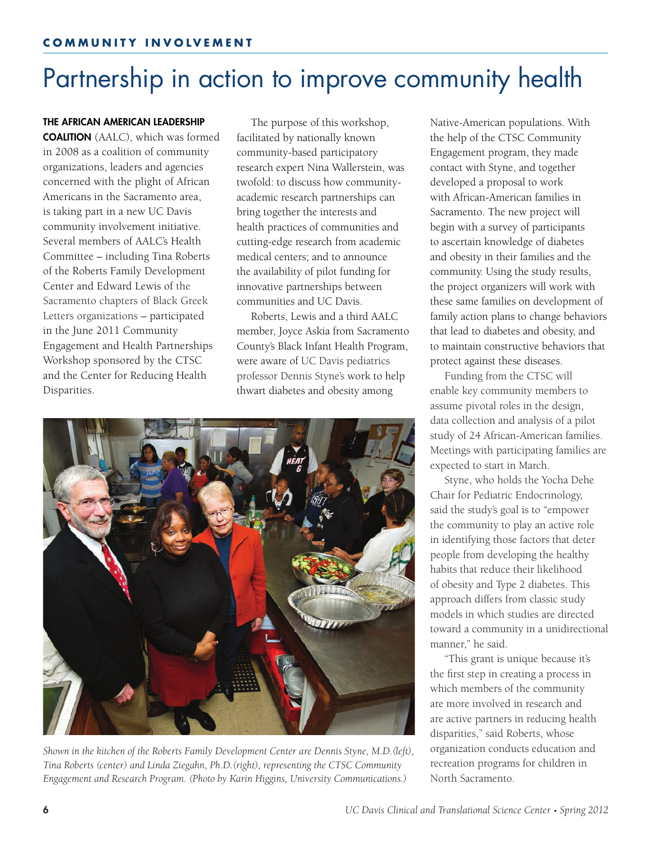# Partnership in action to improve community health

#### THE AFRICAN AMERICAN LEADERSHIP

COALITION (AALC), which was formed in 2008 as a coalition of community organizations, leaders and agencies concerned with the plight of African Americans in the Sacramento area, is taking part in a new UC Davis community involvement initiative. Several members of AALC's Health Committee – including Tina Roberts of the Roberts Family Development Center and Edward Lewis of the Sacramento chapters of Black Greek Letters organizations – participated in the June 2011 Community Engagement and Health Partnerships Workshop sponsored by the CTSC and the Center for Reducing Health Disparities.

The purpose of this workshop, facilitated by nationally known community-based participatory research expert Nina Wallerstein, was twofold: to discuss how communityacademic research partnerships can bring together the interests and health practices of communities and cutting-edge research from academic medical centers; and to announce the availability of pilot funding for innovative partnerships between communities and UC Davis.

Roberts, Lewis and a third AALC member, Joyce Askia from Sacramento County's Black Infant Health Program, were aware of UC Davis pediatrics professor Dennis Styne's work to help thwart diabetes and obesity among



*Shown in the kitchen of the Roberts Family Development Center are Dennis Styne, M.D.(left), Tina Roberts (center) and Linda Ziegahn, Ph.D.(right), representing the CTSC Community Engagement and Research Program. (Photo by Karin Higgins, University Communications.)*

Native-American populations. With the help of the CTSC Community Engagement program, they made contact with Styne, and together developed a proposal to work with African-American families in Sacramento. The new project will begin with a survey of participants to ascertain knowledge of diabetes and obesity in their families and the community. Using the study results, the project organizers will work with these same families on development of family action plans to change behaviors that lead to diabetes and obesity, and to maintain constructive behaviors that protect against these diseases.

Funding from the CTSC will enable key community members to assume pivotal roles in the design, data collection and analysis of a pilot study of 24 African-American families. Meetings with participating families are expected to start in March.

Styne, who holds the Yocha Dehe Chair for Pediatric Endocrinology, said the study's goal is to "empower the community to play an active role in identifying those factors that deter people from developing the healthy habits that reduce their likelihood of obesity and Type 2 diabetes. This approach differs from classic study models in which studies are directed toward a community in a unidirectional manner," he said.

"This grant is unique because it's the first step in creating a process in which members of the community are more involved in research and are active partners in reducing health disparities," said Roberts, whose organization conducts education and recreation programs for children in North Sacramento.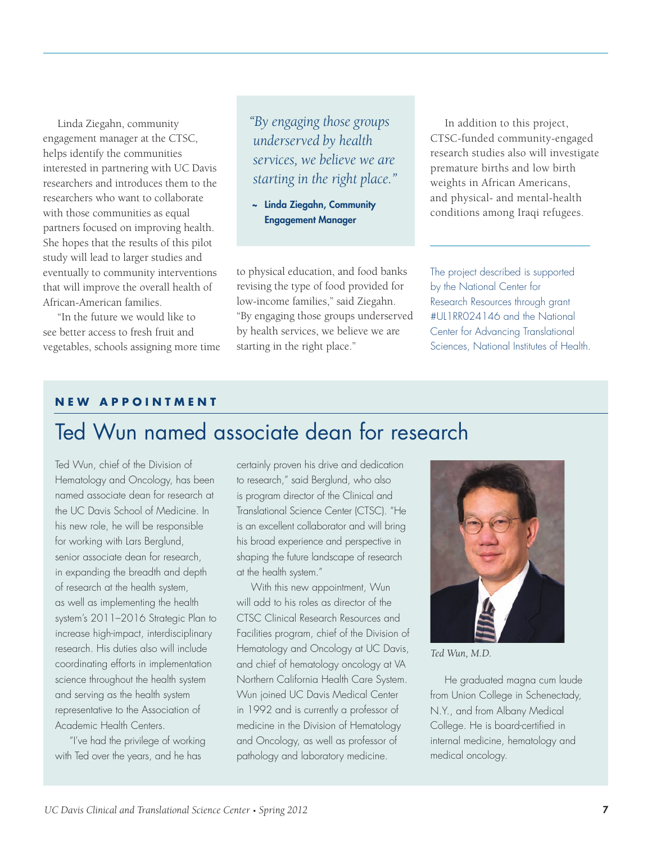Linda Ziegahn, community engagement manager at the CTSC, helps identify the communities interested in partnering with UC Davis researchers and introduces them to the researchers who want to collaborate with those communities as equal partners focused on improving health. She hopes that the results of this pilot study will lead to larger studies and eventually to community interventions that will improve the overall health of African-American families.

"In the future we would like to see better access to fresh fruit and vegetables, schools assigning more time *"By engaging those groups underserved by health services, we believe we are starting in the right place."*

~ Linda Ziegahn, Community Engagement Manager

to physical education, and food banks revising the type of food provided for low-income families," said Ziegahn. "By engaging those groups underserved by health services, we believe we are starting in the right place."

In addition to this project, CTSC-funded community-engaged research studies also will investigate premature births and low birth weights in African Americans, and physical- and mental-health conditions among Iraqi refugees.

The project described is supported by the National Center for Research Resources through grant #UL1RR024146 and the National Center for Advancing Translational Sciences, National Institutes of Health.

#### **NEW APPOINTMENT**

## Ted Wun named associate dean for research

Ted Wun, chief of the Division of Hematology and Oncology, has been named associate dean for research at the UC Davis School of Medicine. In his new role, he will be responsible for working with Lars Berglund, senior associate dean for research, in expanding the breadth and depth of research at the health system, as well as implementing the health system's 2011–2016 Strategic Plan to increase high-impact, interdisciplinary research. His duties also will include coordinating efforts in implementation science throughout the health system and serving as the health system representative to the Association of Academic Health Centers.

"I've had the privilege of working with Ted over the years, and he has

certainly proven his drive and dedication to research," said Berglund, who also is program director of the Clinical and Translational Science Center (CTSC). "He is an excellent collaborator and will bring his broad experience and perspective in shaping the future landscape of research at the health system."

With this new appointment, Wun will add to his roles as director of the CTSC Clinical Research Resources and Facilities program, chief of the Division of Hematology and Oncology at UC Davis, and chief of hematology oncology at VA Northern California Health Care System. Wun joined UC Davis Medical Center in 1992 and is currently a professor of medicine in the Division of Hematology and Oncology, as well as professor of pathology and laboratory medicine.



*Ted Wun, M.D.*

He graduated magna cum laude from Union College in Schenectady, N.Y., and from Albany Medical College. He is board-certified in internal medicine, hematology and medical oncology.